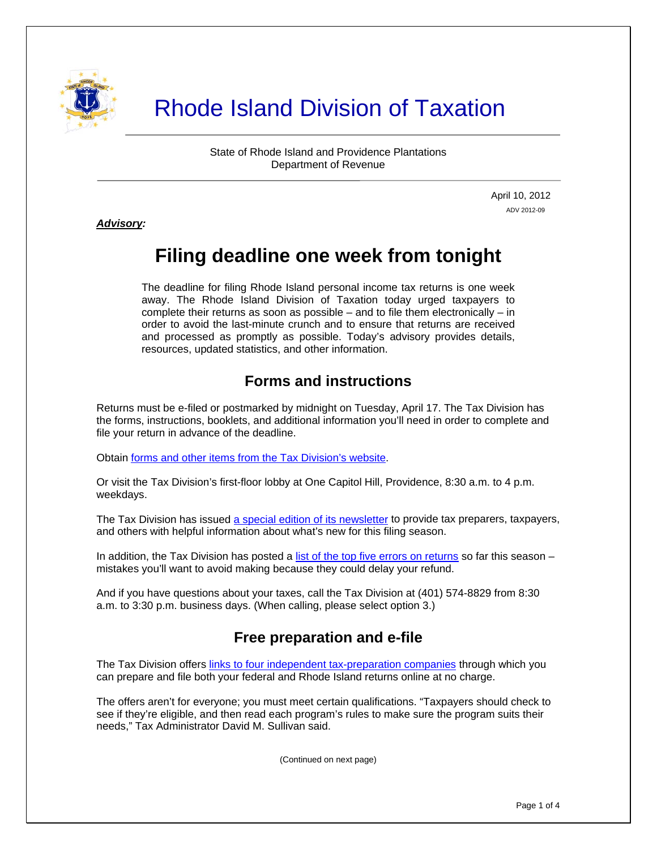

# Rhode Island Division of Taxation

State of Rhode Island and Providence Plantations Department of Revenue

> April 10, 2012 ADV 2012-09

*Advisory:* 

j

# **Filing deadline one week from tonight**

The deadline for filing Rhode Island personal income tax returns is one week away. The Rhode Island Division of Taxation today urged taxpayers to complete their returns as soon as possible – and to file them electronically – in order to avoid the last-minute crunch and to ensure that returns are received and processed as promptly as possible. Today's advisory provides details, resources, updated statistics, and other information.

# **Forms and instructions**

Returns must be e-filed or postmarked by midnight on Tuesday, April 17. The Tax Division has the forms, instructions, booklets, and additional information you'll need in order to complete and file your return in advance of the deadline.

Obtain [forms and other items from the Tax Division's website.](http://www.tax.ri.gov/taxforms/)

Or visit the Tax Division's first-floor lobby at One Capitol Hill, Providence, 8:30 a.m. to 4 p.m. weekdays.

The Tax Division has issued [a special edition of its newsletter](http://www.tax.ri.gov/newsletter/Rhode%20Island%20Division%20of%20Taxation%20Newsletter%20-%20Special%20Edition%20.pdf) to provide tax preparers, taxpayers, and others with helpful information about what's new for this filing season.

In addition, the Tax Division has posted a [list of the top five errors on returns](http://www.tax.ri.gov/Advisory/ADV%202012-07.pdf) so far this season – mistakes you'll want to avoid making because they could delay your refund.

And if you have questions about your taxes, call the Tax Division at (401) 574-8829 from 8:30 a.m. to 3:30 p.m. business days. (When calling, please select option 3.)

# **Free preparation and e-file**

The Tax Division offers [links to four independent tax-preparation companies](http://www.tax.ri.gov/misc/efile.php) through which you can prepare and file both your federal and Rhode Island returns online at no charge.

The offers aren't for everyone; you must meet certain qualifications. "Taxpayers should check to see if they're eligible, and then read each program's rules to make sure the program suits their needs," Tax Administrator David M. Sullivan said.

(Continued on next page)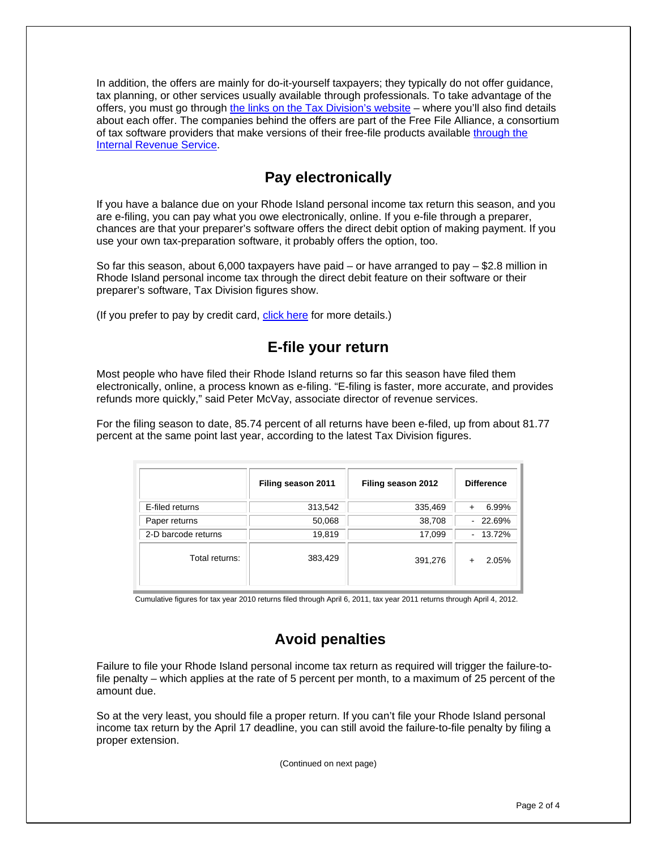In addition, the offers are mainly for do-it-yourself taxpayers; they typically do not offer guidance, tax planning, or other services usually available through professionals. To take advantage of the offers, you must go through [the links on the Tax Division's website](http://www.tax.ri.gov/misc/efile.php) – where you'll also find details about each offer. The companies behind the offers are part of the Free File Alliance, a consortium of tax software providers that make versions of their free-file products available [through the](http://www.irs.gov/newsroom/article/0,,id=252506,00.html)  [Internal Revenue Service](http://www.irs.gov/newsroom/article/0,,id=252506,00.html).

## **Pay electronically**

If you have a balance due on your Rhode Island personal income tax return this season, and you are e-filing, you can pay what you owe electronically, online. If you e-file through a preparer, chances are that your preparer's software offers the direct debit option of making payment. If you use your own tax-preparation software, it probably offers the option, too.

So far this season, about 6,000 taxpayers have paid – or have arranged to pay – \$2.8 million in Rhode Island personal income tax through the direct debit feature on their software or their preparer's software, Tax Division figures show.

(If you prefer to pay by credit card, [click here](http://www.tax.ri.gov/misc/creditcard.php) for more details.)

#### **E-file your return**

Most people who have filed their Rhode Island returns so far this season have filed them electronically, online, a process known as e-filing. "E-filing is faster, more accurate, and provides refunds more quickly," said Peter McVay, associate director of revenue services.

For the filing season to date, 85.74 percent of all returns have been e-filed, up from about 81.77 percent at the same point last year, according to the latest Tax Division figures.

|                     | Filing season 2011 | Filing season 2012 | <b>Difference</b> |
|---------------------|--------------------|--------------------|-------------------|
| E-filed returns     | 313,542            | 335,469            | 6.99%             |
| Paper returns       | 50,068             | 38,708             | $-22.69%$         |
| 2-D barcode returns | 19,819             | 17,099             | $-13.72%$         |
| Total returns:      | 383,429            | 391,276            | 2.05%             |

Cumulative figures for tax year 2010 returns filed through April 6, 2011, tax year 2011 returns through April 4, 2012.

### **Avoid penalties**

Failure to file your Rhode Island personal income tax return as required will trigger the failure-tofile penalty – which applies at the rate of 5 percent per month, to a maximum of 25 percent of the amount due.

So at the very least, you should file a proper return. If you can't file your Rhode Island personal income tax return by the April 17 deadline, you can still avoid the failure-to-file penalty by filing a proper extension.

(Continued on next page)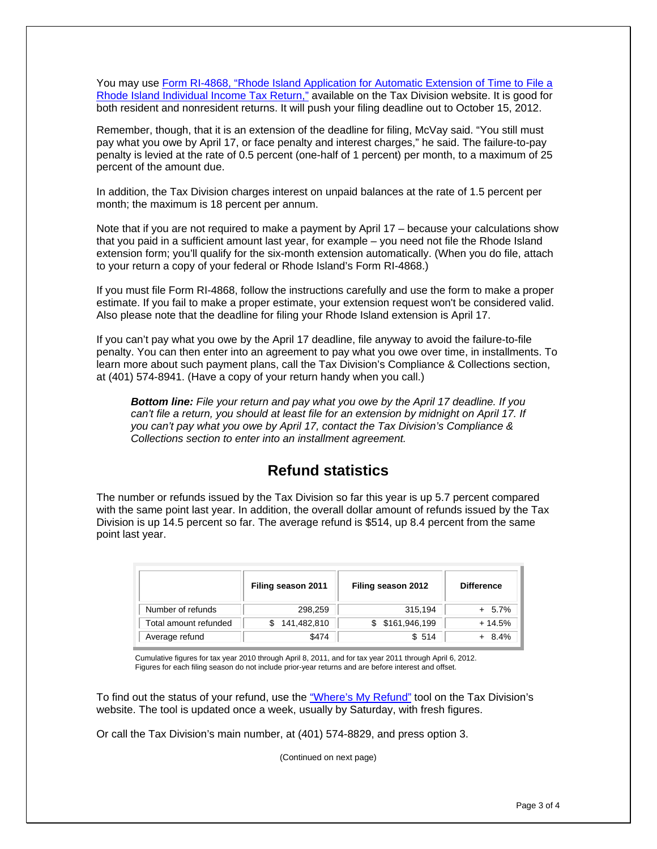You may use Form RI-4868, "Rhode Island Application for Automatic Extension of Time to File a [Rhode Island Individual Income Tax Return,"](http://www.tax.ri.gov/forms/2011/Income/2011%20RI-4868.pdf) available on the Tax Division website. It is good for both resident and nonresident returns. It will push your filing deadline out to October 15, 2012.

Remember, though, that it is an extension of the deadline for filing, McVay said. "You still must pay what you owe by April 17, or face penalty and interest charges," he said. The failure-to-pay penalty is levied at the rate of 0.5 percent (one-half of 1 percent) per month, to a maximum of 25 percent of the amount due.

In addition, the Tax Division charges interest on unpaid balances at the rate of 1.5 percent per month; the maximum is 18 percent per annum.

Note that if you are not required to make a payment by April 17 – because your calculations show that you paid in a sufficient amount last year, for example – you need not file the Rhode Island extension form; you'll qualify for the six-month extension automatically. (When you do file, attach to your return a copy of your federal or Rhode Island's Form RI-4868.)

If you must file Form RI-4868, follow the instructions carefully and use the form to make a proper estimate. If you fail to make a proper estimate, your extension request won't be considered valid. Also please note that the deadline for filing your Rhode Island extension is April 17.

If you can't pay what you owe by the April 17 deadline, file anyway to avoid the failure-to-file penalty. You can then enter into an agreement to pay what you owe over time, in installments. To learn more about such payment plans, call the Tax Division's Compliance & Collections section, at (401) 574-8941. (Have a copy of your return handy when you call.)

*Bottom line: File your return and pay what you owe by the April 17 deadline. If you can't file a return, you should at least file for an extension by midnight on April 17. If you can't pay what you owe by April 17, contact the Tax Division's Compliance & Collections section to enter into an installment agreement.* 

#### **Refund statistics**

The number or refunds issued by the Tax Division so far this year is up 5.7 percent compared with the same point last year. In addition, the overall dollar amount of refunds issued by the Tax Division is up 14.5 percent so far. The average refund is \$514, up 8.4 percent from the same point last year.

|                       | Filing season 2011 | Filing season 2012 | <b>Difference</b> |
|-----------------------|--------------------|--------------------|-------------------|
| Number of refunds     | 298,259            | 315,194            | $+ 5.7\%$         |
| Total amount refunded | 141,482,810        | \$161,946,199      | $+14.5%$          |
| Average refund        | \$474              | \$514              | $+ 8.4%$          |

Cumulative figures for tax year 2010 through April 8, 2011, and for tax year 2011 through April 6, 2012. Figures for each filing season do not include prior-year returns and are before interest and offset.

To find out the status of your refund, use the ["Where's My Refund"](https://www.ri.gov/cgi-bin/taxation/refund/status.cgi) tool on the Tax Division's website. The tool is updated once a week, usually by Saturday, with fresh figures.

Or call the Tax Division's main number, at (401) 574-8829, and press option 3.

(Continued on next page)